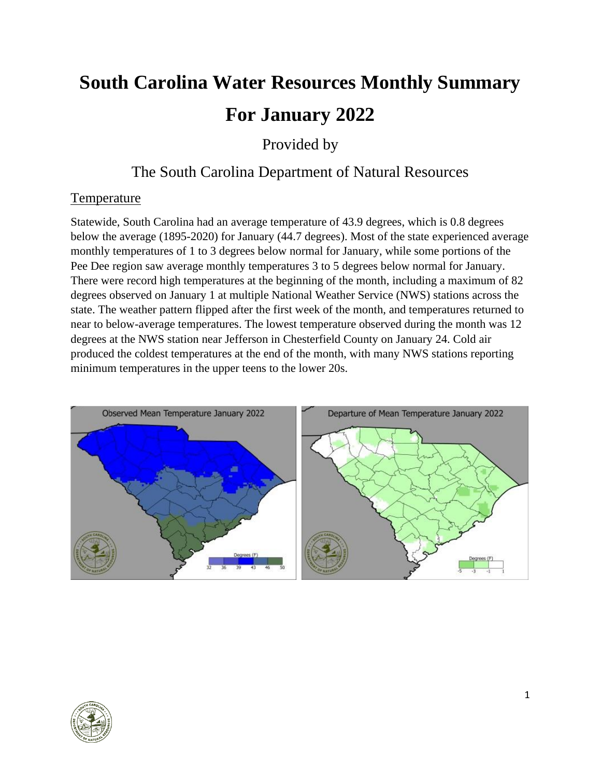# **South Carolina Water Resources Monthly Summary For January 2022**

Provided by

# The South Carolina Department of Natural Resources

# **Temperature**

Statewide, South Carolina had an average temperature of 43.9 degrees, which is 0.8 degrees below the average (1895-2020) for January (44.7 degrees). Most of the state experienced average monthly temperatures of 1 to 3 degrees below normal for January, while some portions of the Pee Dee region saw average monthly temperatures 3 to 5 degrees below normal for January. There were record high temperatures at the beginning of the month, including a maximum of 82 degrees observed on January 1 at multiple National Weather Service (NWS) stations across the state. The weather pattern flipped after the first week of the month, and temperatures returned to near to below-average temperatures. The lowest temperature observed during the month was 12 degrees at the NWS station near Jefferson in Chesterfield County on January 24. Cold air produced the coldest temperatures at the end of the month, with many NWS stations reporting minimum temperatures in the upper teens to the lower 20s.



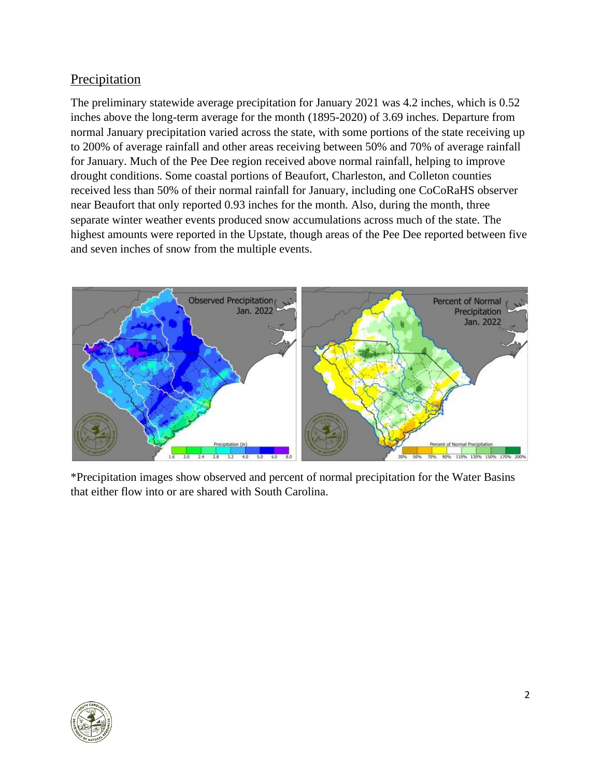#### Precipitation

The preliminary statewide average precipitation for January 2021 was 4.2 inches, which is 0.52 inches above the long-term average for the month (1895-2020) of 3.69 inches. Departure from normal January precipitation varied across the state, with some portions of the state receiving up to 200% of average rainfall and other areas receiving between 50% and 70% of average rainfall for January. Much of the Pee Dee region received above normal rainfall, helping to improve drought conditions. Some coastal portions of Beaufort, Charleston, and Colleton counties received less than 50% of their normal rainfall for January, including one CoCoRaHS observer near Beaufort that only reported 0.93 inches for the month. Also, during the month, three separate winter weather events produced snow accumulations across much of the state. The highest amounts were reported in the Upstate, though areas of the Pee Dee reported between five and seven inches of snow from the multiple events.



\*Precipitation images show observed and percent of normal precipitation for the Water Basins that either flow into or are shared with South Carolina.

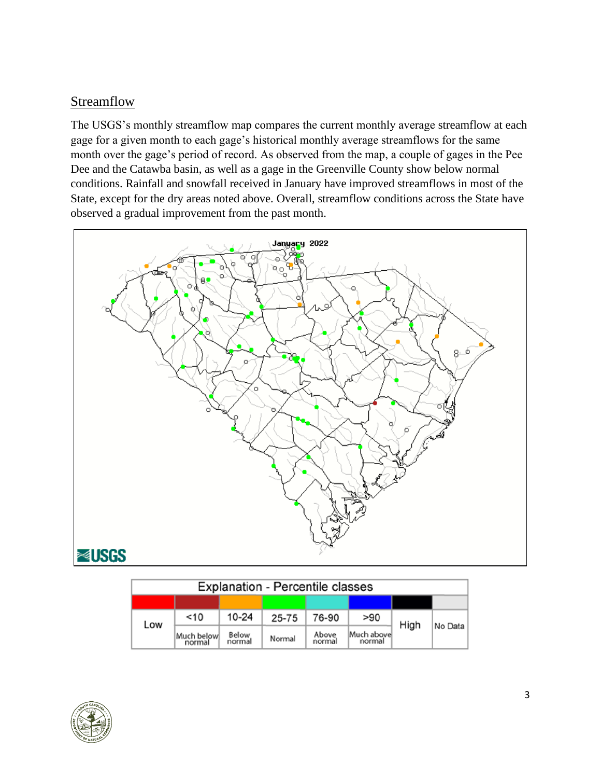# Streamflow

The USGS's monthly streamflow map compares the current monthly average streamflow at each gage for a given month to each gage's historical monthly average streamflows for the same month over the gage's period of record. As observed from the map, a couple of gages in the Pee Dee and the Catawba basin, as well as a gage in the Greenville County show below normal conditions. Rainfall and snowfall received in January have improved streamflows in most of the State, except for the dry areas noted above. Overall, streamflow conditions across the State have observed a gradual improvement from the past month.



| <b>Explanation - Percentile classes</b> |                       |                        |        |                 |                      |      |         |  |  |
|-----------------------------------------|-----------------------|------------------------|--------|-----------------|----------------------|------|---------|--|--|
|                                         |                       |                        |        |                 |                      |      |         |  |  |
| Low                                     | $<$ 10                | $10 - 24$              | 25-75  | 76-90           | > 90                 | High | No Data |  |  |
|                                         | Much belowl<br>normal | <b>Below</b><br>normal | Normal | Above<br>normal | Much above<br>normal |      |         |  |  |

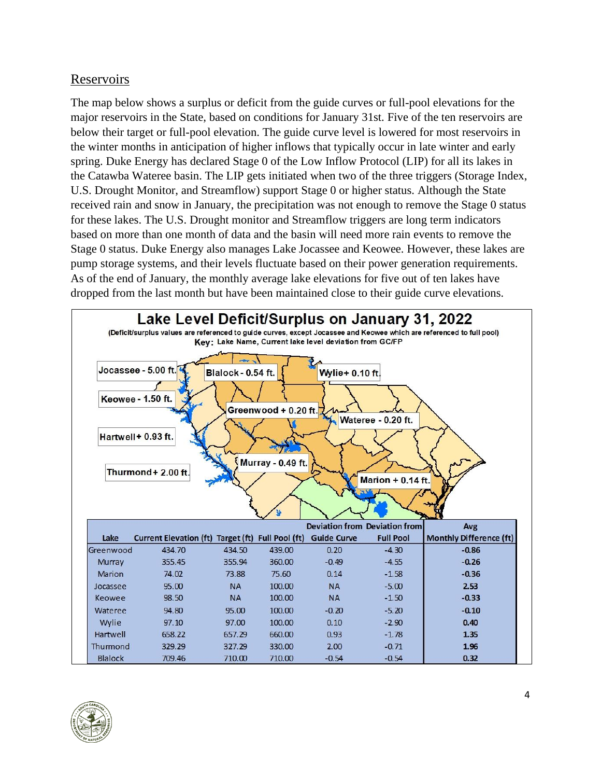#### Reservoirs

The map below shows a surplus or deficit from the guide curves or full-pool elevations for the major reservoirs in the State, based on conditions for January 31st. Five of the ten reservoirs are below their target or full-pool elevation. The guide curve level is lowered for most reservoirs in the winter months in anticipation of higher inflows that typically occur in late winter and early spring. Duke Energy has declared Stage 0 of the Low Inflow Protocol (LIP) for all its lakes in the Catawba Wateree basin. The LIP gets initiated when two of the three triggers (Storage Index, U.S. Drought Monitor, and Streamflow) support Stage 0 or higher status. Although the State received rain and snow in January, the precipitation was not enough to remove the Stage 0 status for these lakes. The U.S. Drought monitor and Streamflow triggers are long term indicators based on more than one month of data and the basin will need more rain events to remove the Stage 0 status. Duke Energy also manages Lake Jocassee and Keowee. However, these lakes are pump storage systems, and their levels fluctuate based on their power generation requirements. As of the end of January, the monthly average lake elevations for five out of ten lakes have dropped from the last month but have been maintained close to their guide curve elevations.



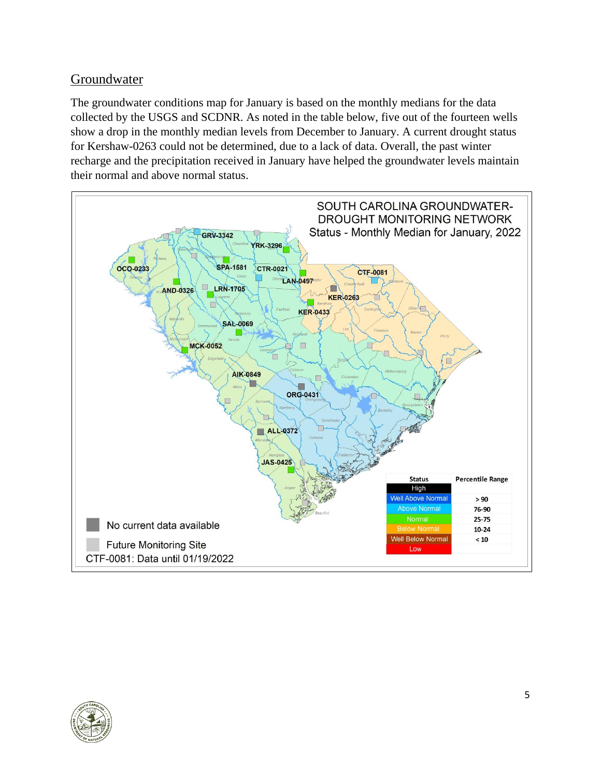# Groundwater

The groundwater conditions map for January is based on the monthly medians for the data collected by the USGS and SCDNR. As noted in the table below, five out of the fourteen wells show a drop in the monthly median levels from December to January. A current drought status for Kershaw-0263 could not be determined, due to a lack of data. Overall, the past winter recharge and the precipitation received in January have helped the groundwater levels maintain their normal and above normal status.



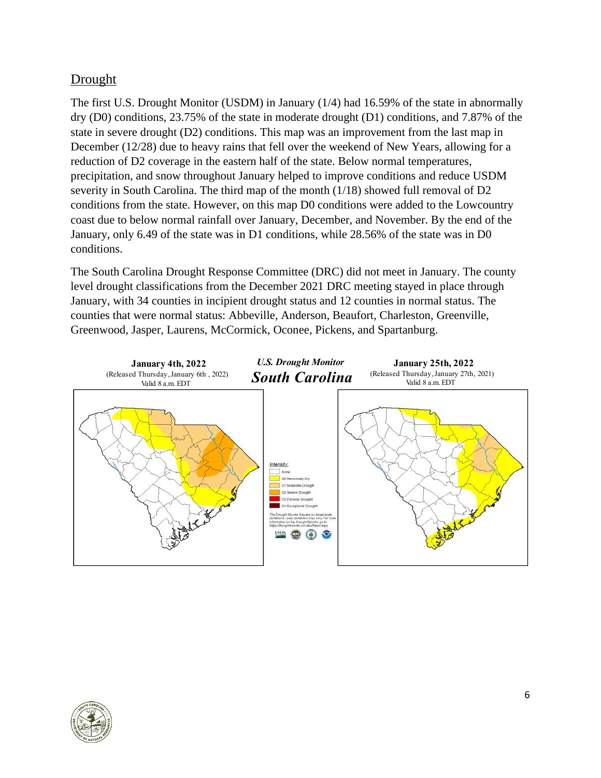# Drought

The first U.S. Drought Monitor (USDM) in January (1/4) had 16.59% of the state in abnormally dry (D0) conditions, 23.75% of the state in moderate drought (D1) conditions, and 7.87% of the state in severe drought (D2) conditions. This map was an improvement from the last map in December (12/28) due to heavy rains that fell over the weekend of New Years, allowing for a reduction of D2 coverage in the eastern half of the state. Below normal temperatures, precipitation, and snow throughout January helped to improve conditions and reduce USDM severity in South Carolina. The third map of the month (1/18) showed full removal of D2 conditions from the state. However, on this map D0 conditions were added to the Lowcountry coast due to below normal rainfall over January, December, and November. By the end of the January, only 6.49 of the state was in D1 conditions, while 28.56% of the state was in D0 conditions.

The South Carolina Drought Response Committee (DRC) did not meet in January. The county level drought classifications from the December 2021 DRC meeting stayed in place through January, with 34 counties in incipient drought status and 12 counties in normal status. The counties that were normal status: Abbeville, Anderson, Beaufort, Charleston, Greenville, Greenwood, Jasper, Laurens, McCormick, Oconee, Pickens, and Spartanburg.